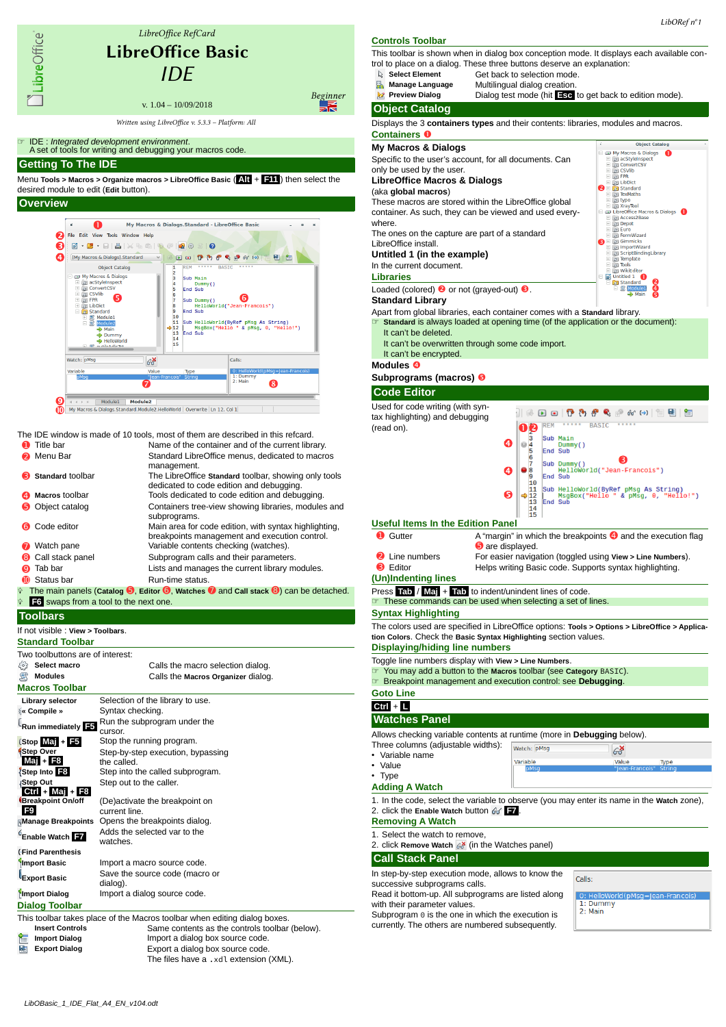

The files have a .xdl extension (XML).

# This toolbar is shown when in dialog box conception mode. It displays each available control to place on a dialog. These three buttons deserve an explanation:<br>
Select Element Get back to selection mode **Select Element** Get back to selection mode.<br>**Manage Language** Multilingual dialog creation. **Multilingual dialog creation. Preview Dialog** Dialog test mode (hit **Esc** to get back to edition mode). **Object Catalog** Displays the 3 **containers types** and their contents: libraries, modules and macros. **My Macros & Dialogs**



### **Syntax Highlighting**

The colors used are specified in LibreOffice options: **Tools > Options > LibreOffice > Application Colors**. Check the **Basic Syntax Highlighting** section values. **Displaying/hiding line numbers**

# Toggle line numbers display with **View > Line Numbers**.

- 
- ☞ You may add a button to the **Macros** toolbar (see **Category** BASIC).
- ☞ Breakpoint management and execution control: see **Debugging**.

### **Watches Panel** Allows checking variable contents at runtime (more in **Debugging** below). Three columns (adjustable widths): Watch: DMsg  $63$ • Variable name Variable Value Type **Adding A Watch** 1. In the code, select the variable to observe (you may enter its name in the **Watch** zone), 2. click the **Enable Watch** button **F7** . **Removing A Watch** 1. Select the watch to remove, 2. click **Remove Watch** (in the Watches panel)

In step-by-step execution mode, allows to know the successive subprograms calls. Read it bottom-up. All subprograms are listed along

with their parameter values.

Subprogram  $\theta$  is the one in which the execution is currently. The others are numbered subsequently.

Calle